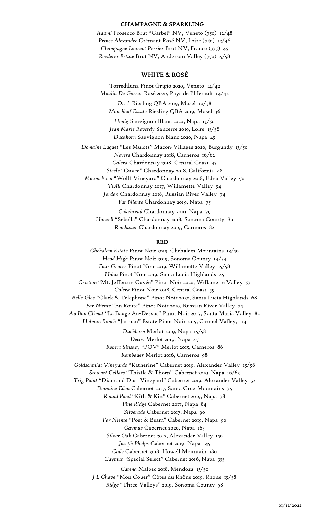#### CHAMPAGNE & SPARKLING

*Adami* Prosecco Brut "Garbel" NV, Veneto (750) 12/48 *Prince Alexandre* Crémant Rosé NV, Loire (750) 12/46 *Champagne Laurent Perrier* Brut NV, France (375) 45 *Roederer Estate* Brut NV, Anderson Valley (750) 15/58

# WHITE & ROSÉ

Torrediluna Pinot Grigio 2020, Veneto 14/42 *Moulin De Gassac* Rosé *2020*, Pays de I'Herault 14/42

*Dr. L* Riesling QBA 2019, Mosel 10/38 *Monchhof Estate* Riesling QBA 2019, Mosel 36

*Honig* Sauvignon Blanc 2020, Napa 13/50 *Jean Marie Reverdy* Sancerre 2019, Loire 15/58 *Duckhorn* Sauvignon Blanc 2020, Napa 45

*Domaine Luquet* "Les Mulots" Macon-Villages 2020, Burgundy13/50 *Neyers* Chardonnay 2018, Carneros 16/62 *Calera* Chardonnay 2018, Central Coast 45 *Steele* "Cuvee" Chardonnay 2018, California 48 *Mount Eden* "Wolff Vineyard" Chardonnay 2018, Edna Valley 50 *Twill* Chardonnay 2017, Willamette Valley 54 *Jordan* Chardonnay 2018, Russian River Valley 74 *Far Niente* Chardonnay 2019, Napa 75 *Cakebread* Chardonnay 2019, Napa 79

*Hanzell* "Sebella" Chardonnay 2018, Sonoma County 80 *Rombauer* Chardonnay 2019, Carneros 82

#### RED

*Chehalem Estate* Pinot Noir 2019, Chehalem Mountains 13/50 *Head High* Pinot Noir 2019, Sonoma County 14/54 *Four Graces* Pinot Noir 2019, Willamette Valley 15/58 *Hahn* Pinot Noir 2019, Santa Lucia Highlands 45 *Cristom* "Mt. Jefferson Cuvée" Pinot Noir 2020, Willamette Valley 57 *Calera* Pinot Noir 2018, Central Coast 59 *Belle Glos* "Clark & Telephone" Pinot Noir 2020, Santa Lucia Highlands 68 *Far Niente* "En Route" Pinot Noir 2019, Russian River Valley 75 *Au Bon Climat* "La Bauge Au-Dessus" Pinot Noir 2017, Santa Maria Valley 82 *Holman Ranch* "Jarman" Estate Pinot Noir 2015, Carmel Valley, 114 *Duckhorn* Merlot 2019, Napa 15/58 *Decoy* Merlot 2019, Napa 45 *Robert Sinskey* "POV" Merlot 2015, Carneros 86 *Rombauer* Merlot 2016, Carneros 98 *Goldschmidt Vineyards* "Katherine" Cabernet 2019, Alexander Valley 15/58 *Stewart Cellars* "Thistle & Thorn" Cabernet 2019, Napa 16/62 *Trig Point* "Diamond Dust Vineyard" Cabernet 2019, Alexander Valley 52 *Domaine Eden* Cabernet 2017, Santa Cruz Mountains 75 *Round Pond* "Kith & Kin" Cabernet 2019, Napa 78 *Pine Ridge* Cabernet 2017, Napa 84 *Silverado* Cabernet 2017, Napa 90 *Far Niente* "Post & Beam" Cabernet 2019, Napa 90 *Caymus* Cabernet 2020, Napa 165 *Silver Oak* Cabernet 2017, Alexander Valley150 *Joseph Phelps* Cabernet 2019, Napa 145 *Cade* Cabernet 2018, Howell Mountain 180 *Caymus* "Special Select" Cabernet 2016, Napa 355 *Catena* Malbec 2018, Mendoza 13/50 *J L Chave* "Mon Couer" Côtes du Rhône 2019, Rhone 15/58

*Ridge* "Three Valleys" 2019, Sonoma County 58

01/11/2022